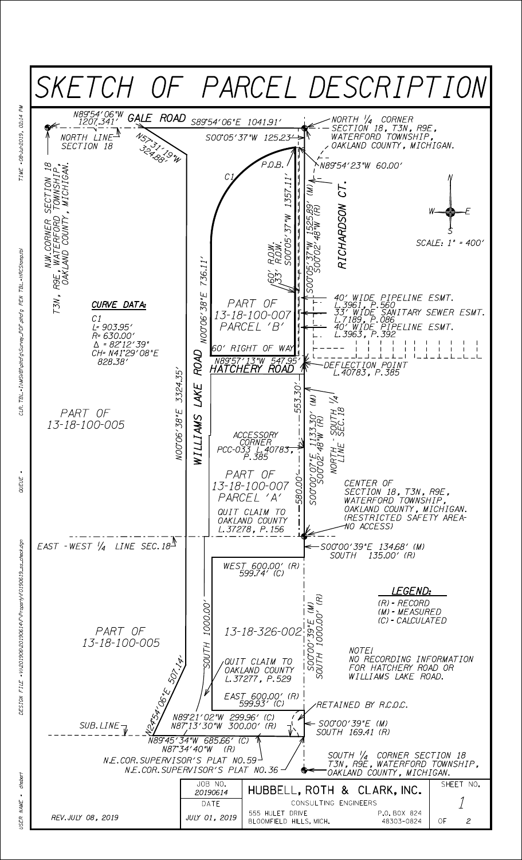

 $F1 \&$  = V;201906\20190614\F\Property\f0190619\_ss\_check.dgn

**QUEUE** 

dheber. NAME **ISER**